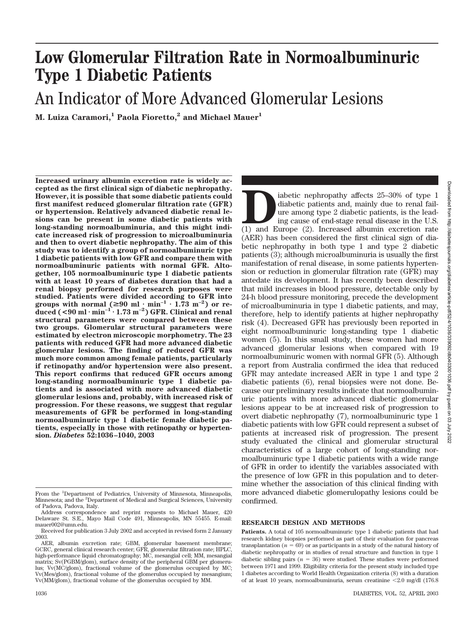# Downloaded from http://diabetesjournals.org/diabetes/article-pdf/52/4/1036/339092/db0403001036.pdf by guest on 03 July Downloaded from http://diabetesjournals.org/diabetes/article-pdf/52/4/1036/339092/db0403001036.pdf by guest on 03 July 2022

# **Low Glomerular Filtration Rate in Normoalbuminuric Type 1 Diabetic Patients**

## An Indicator of More Advanced Glomerular Lesions

**M. Luiza Caramori,1 Paola Fioretto,2 and Michael Mauer1**

**Increased urinary albumin excretion rate is widely accepted as the first clinical sign of diabetic nephropathy. However, it is possible that some diabetic patients could first manifest reduced glomerular filtration rate (GFR) or hypertension. Relatively advanced diabetic renal lesions can be present in some diabetic patients with long-standing normoalbuminuria, and this might indicate increased risk of progression to microalbuminuria and then to overt diabetic nephropathy. The aim of this study was to identify a group of normoalbuminuric type 1 diabetic patients with low GFR and compare them with normoalbuminuric patients with normal GFR. Altogether, 105 normoalbuminuric type 1 diabetic patients with at least 10 years of diabetes duration that had a renal biopsy performed for research purposes were studied. Patients were divided according to GFR into groups with normal (** $\geq 90$  **ml**  $\cdot$  min<sup>-1</sup>  $\cdot$  1.73 m<sup>-2</sup>) or re**duced (<90 ml min–1 1.73 m–2) GFR. Clinical and renal structural parameters were compared between these two groups. Glomerular structural parameters were estimated by electron microscopic morphometry. The 23 patients with reduced GFR had more advanced diabetic glomerular lesions. The finding of reduced GFR was much more common among female patients, particularly if retinopathy and/or hypertension were also present. This report confirms that reduced GFR occurs among long-standing normoalbuminuric type 1 diabetic patients and is associated with more advanced diabetic glomerular lesions and, probably, with increased risk of progression. For these reasons, we suggest that regular measurements of GFR be performed in long-standing normoalbuminuric type 1 diabetic female diabetic patients, especially in those with retinopathy or hypertension.** *Diabetes* **52:1036–1040, 2003**

iabetic nephropathy affects 25–30% of type 1<br>diabetic patients and, mainly due to renal fail-<br>ure among type 2 diabetic patients, is the lead-<br>ing cause of end-stage renal disease in the U.S.<br>(1) and Europe (2). Increased diabetic patients and, mainly due to renal failure among type 2 diabetic patients, is the leading cause of end-stage renal disease in the U.S. (AER) has been considered the first clinical sign of diabetic nephropathy in both type 1 and type 2 diabetic patients (3); although microalbuminuria is usually the first manifestation of renal disease, in some patients hypertension or reduction in glomerular filtration rate (GFR) may antedate its development. It has recently been described that mild increases in blood pressure, detectable only by 24-h blood pressure monitoring, precede the development of microalbuminuria in type 1 diabetic patients, and may, therefore, help to identify patients at higher nephropathy risk (4). Decreased GFR has previously been reported in eight normoalbuminuric long-standing type 1 diabetic women (5). In this small study, these women had more advanced glomerular lesions when compared with 19 normoalbuminuric women with normal GFR (5). Although a report from Australia confirmed the idea that reduced GFR may antedate increased AER in type 1 and type 2 diabetic patients (6), renal biopsies were not done. Because our preliminary results indicate that normoalbuminuric patients with more advanced diabetic glomerular lesions appear to be at increased risk of progression to overt diabetic nephropathy (7), normoalbuminuric type 1 diabetic patients with low GFR could represent a subset of patients at increased risk of progression. The present study evaluated the clinical and glomerular structural characteristics of a large cohort of long-standing normoalbuminuric type 1 diabetic patients with a wide range of GFR in order to identify the variables associated with the presence of low GFR in this population and to determine whether the association of this clinical finding with more advanced diabetic glomerulopathy lesions could be confirmed.

### **RESEARCH DESIGN AND METHODS**

**Patients.** A total of 105 normoalbuminuric type 1 diabetic patients that had research kidney biopsies performed as part of their evaluation for pancreas transplantation  $(n = 69)$  or as participants in a study of the natural history of diabetic nephropathy or in studies of renal structure and function in type 1 diabetic sibling pairs  $(n = 36)$  were studied. These studies were performed between 1971 and 1999. Eligibility criteria for the present study included type 1 diabetes according to World Health Organization criteria (8) with a duration of at least 10 years, normoalbuminuria, serum creatinine -2.0 mg/dl (176.8

From the <sup>1</sup>Department of Pediatrics, University of Minnesota, Minneapolis, Minnesota; and the <sup>2</sup>Department of Medical and Surgical Sciences, University of Padova, Padova, Italy.

Address correspondence and reprint requests to Michael Mauer, 420 Delaware St. S.E., Mayo Mail Code 491, Minneapolis, MN 55455. E-mail: mauer002@umn.edu.

Received for publication 3 July 2002 and accepted in revised form 2 January 2003.

AER, albumin excretion rate; GBM, glomerular basement membrane; GCRC, general clinical research center; GFR, glomerular filtration rate; HPLC, high-performance liquid chromatography; MC, mesangial cell; MM, mesangial matrix; Sv(PGBM/glom), surface density of the peripheral GBM per glomerulus; Vv(MC/glom), fractional volume of the glomerulus occupied by MC; Vv(Mes/glom), fractional volume of the glomerulus occupied by mesangium; Vv(MM/glom), fractional volume of the glomerulus occupied by MM.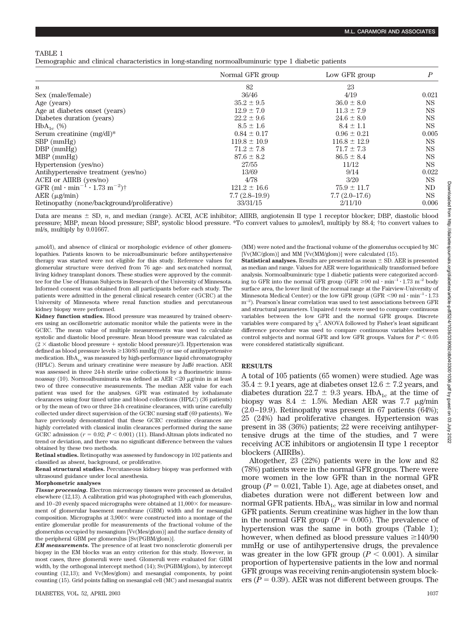Demographic and clinical characteristics in long-standing normoalbuminuric type 1 diabetic patients

|                                                                               | Normal GFR group | Low GFR group    | P     |
|-------------------------------------------------------------------------------|------------------|------------------|-------|
| $\boldsymbol{n}$                                                              | 82               | 23               |       |
| Sex (male/female)                                                             | 36/46            | 4/19             | 0.021 |
| Age (years)                                                                   | $35.2 \pm 9.5$   | $36.0 \pm 8.0$   | NS.   |
| Age at diabetes onset (years)                                                 | $12.9 \pm 7.0$   | $11.3 \pm 7.9$   | NS.   |
| Diabetes duration (years)                                                     | $22.2 \pm 9.6$   | $24.6 \pm 8.0$   | NS.   |
| $HbA_{1c}$ (%)                                                                | $8.5 \pm 1.6$    | $8.4 \pm 1.1$    | NS.   |
| Serum creatinine $(mg/dl)^*$                                                  | $0.84 \pm 0.17$  | $0.96 \pm 0.21$  | 0.005 |
| $SBP$ (mmHg)                                                                  | $119.8 \pm 10.9$ | $116.8 \pm 12.9$ | NS.   |
| $DBP$ (mmHg)                                                                  | $71.2 \pm 7.8$   | $71.7 \pm 7.3$   | NS.   |
| $MBP$ (mmHg)                                                                  | $87.6 \pm 8.2$   | $86.5 \pm 8.4$   | NS.   |
| Hypertension (yes/no)                                                         | 27/55            | 11/12            | NS.   |
| Antihypertensive treatment (yes/no)                                           | 13/69            | 9/14             | 0.022 |
| ACEI or AIIRB (yes/no)                                                        | 4/78             | 3/20             | NS.   |
| GFR (ml $\cdot$ min <sup>-1</sup> $\cdot$ 1.73 m <sup>-2</sup> ) <sup>†</sup> | $121.2 \pm 16.6$ | $75.9 \pm 11.7$  | ND    |
| $AER$ ( $\mu$ g/min)                                                          | $7.7(2.8-19.9)$  | $7.7(2.0-17.6)$  | NS.   |
| Retinopathy (none/background/proliferative)                                   | 33/31/15         | 2/11/10          | 0.006 |

Data are means  $\pm$  SD,  $n$ , and median (range). ACEI, ACE inhibitor; AIIRB, angiotensin II type 1 receptor blocker; DBP, diastolic blood pressure; MBP, mean blood pressure; SBP, systolic blood pressure. \*To convert values to moles/l, multiply by 88.4; †to convert values to ml/s, multiply by 0.01667.

mol/l), and absence of clinical or morphologic evidence of other glomerulopathies. Patients known to be microalbuminuric before antihypertensive therapy was started were not eligible for this study. Reference values for glomerular structure were derived from 76 age- and sex-matched normal, living kidney transplant donors. These studies were approved by the committee for the Use of Human Subjects in Research of the University of Minnesota. Informed consent was obtained from all participants before each study. The patients were admitted in the general clinical research center (GCRC) at the University of Minnesota where renal function studies and percutaneous kidney biopsy were performed.

**Kidney function studies.** Blood pressure was measured by trained observers using an oscillometric automatic monitor while the patients were in the GCRC. The mean value of multiple measurements was used to calculate systolic and diastolic blood pressure. Mean blood pressure was calculated as  $(2 \times$  diastolic blood pressure + systolic blood pressure)/3. Hypertension was defined as blood pressure levels  $\geq$  130/85 mmHg (9) or use of antihypertensive medication.  $HbA_{1c}$  was measured by high-performance liquid chromatography (HPLC). Serum and urinary creatinine were measure by Jaffe´ reaction. AER was assessed in three 24-h sterile urine collections by a fluorimetric immunoassay (10). Normoalbuminuria was defined as AER <20 µg/min in at least two of three consecutive measurements. The median AER value for each patient was used for the analyses. GFR was estimated by iothalamate clearances using four timed urine and blood collections (HPLC) (36 patients) or by the mean of two or three 24-h creatinine clearances, with urine carefully collected under direct supervision of the GCRC nursing staff (69 patients). We have previously demonstrated that these GCRC creatinine clearances are highly correlated with classical inulin clearances performed during the same GCRC admission  $(r = 0.92; P < 0.001)$  (11). Bland-Altman plots indicated no trend or deviation, and there was no significant difference between the values obtained by these two methods.

**Retinal studies.** Retinopathy was assessed by fundoscopy in 102 patients and classified as absent, background, or proliferative.

**Renal structural studies.** Percutaneous kidney biopsy was performed with ultrasound guidance under local anesthesia.

### **Morphometric analyses**

*Tissue processing.* Electron microscopy tissues were processed as detailed elsewhere (12,13). A calibration grid was photographed with each glomerulus, and  $10-20$  evenly spaced micrographs were obtained at  $11,000\times$  for measurement of glomerular basement membrane (GBM) width and for mesangial composition. Micrographs at  $3,900 \times$  were constructed into a montage of the entire glomerular profile for measurements of the fractional volume of the glomerulus occupied by mesangium [Vv(Mes/glom)] and the surface density of the peripheral GBM per glomerulus [Sv(PGBM/glom)].

*EM measurements.* The presence of at least two nonsclerotic glomeruli per biopsy in the EM blocks was an entry criterion for this study. However, in most cases, three glomeruli were used. Glomeruli were evaluated for: GBM width, by the orthogonal intercept method (14); Sv(PGBM/glom), by intercept counting (12,13); and Vv(Mes/glom) and mesangial components, by point counting (15). Grid points falling on mesangial cell (MC) and mesangial matrix (MM) were noted and the fractional volume of the glomerulus occupied by MC [Vv(MC/glom)] and MM [Vv(MM/glom)] were calculated (15).

**Statistical analyses.** Results are presented as mean  $\pm$  SD. AER is presented as median and range. Values for AER were logarithmically transformed before analysis. Normoalbuminuric type 1 diabetic patients were categorized according to GFR into the normal GFR group (GFR  $\geq 90$  ml  $\cdot$  min<sup>-1</sup>  $\cdot$  1.73 m<sup>-2</sup> body surface area, the lower limit of the normal range at the Fairview-University of Minnesota Medical Center) or the low GFR group (GFR <90 ml·min<sup>-1</sup>·1.73 m–2 ). Pearson's linear correlation was used to test associations between GFR and structural parameters. Unpaired *t* tests were used to compare continuous variables between the low GFR and the normal GFR groups. Discrete variables were compared by  $\chi^2$ . ANOVA followed by Fisher's least significant difference procedure was used to compare continuous variables between control subjects and normal GFR and low GFR groups. Values for  $P < 0.05$ were considered statistically significant.

### **RESULTS**

A total of 105 patients (65 women) were studied. Age was  $35.4 \pm 9.1$  years, age at diabetes onset  $12.6 \pm 7.2$  years, and diabetes duration 22.7  $\pm$  9.3 years. HbA<sub>1c</sub> at the time of biopsy was 8.4  $\pm$  1.5%. Median AER was 7.7  $\mu$ g/min  $(2.0-19.9)$ . Retinopathy was present in 67 patients  $(64%)$ ; 25 (24%) had proliferative changes. Hypertension was present in 38 (36%) patients; 22 were receiving antihypertensive drugs at the time of the studies, and 7 were receiving ACE inhibitors or angiotensin II type 1 receptor blockers (AIIRBs).

Altogether, 23 (22%) patients were in the low and 82 (78%) patients were in the normal GFR groups. There were more women in the low GFR than in the normal GFR group  $(P = 0.021$ , Table 1). Age, age at diabetes onset, and diabetes duration were not different between low and normal GFR patients.  $HbA_{1c}$  was similar in low and normal GFR patients. Serum creatinine was higher in the low than in the normal GFR group  $(P = 0.005)$ . The prevalence of hypertension was the same in both groups (Table 1); however, when defined as blood pressure values  $\geq$ 140/90 mmHg or use of antihypertensive drugs, the prevalence was greater in the low GFR group  $(P < 0.001)$ . A similar proportion of hypertensive patients in the low and normal GFR groups was receiving renin-angiotensin system blockers ( $P = 0.39$ ). AER was not different between groups. The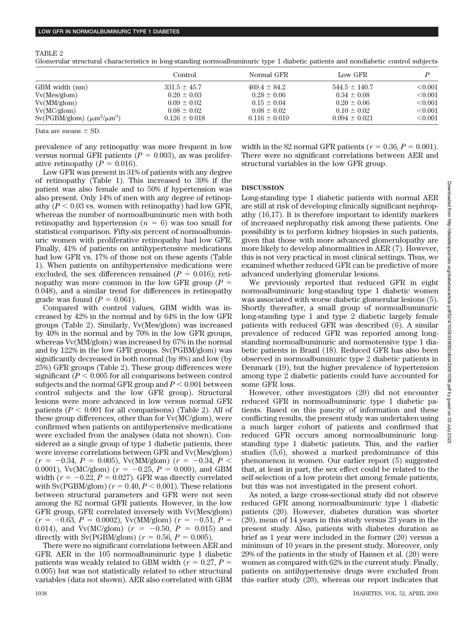### TABLE 2

Glomerular structural characteristics in long-standing normoalbuminuric type 1 diabetic patients and nondiabetic control subjects

|                                                                   | Control           | Normal GFR        | Low GFR           |                |
|-------------------------------------------------------------------|-------------------|-------------------|-------------------|----------------|
| GBM width (nm)                                                    | $331.5 \pm 45.7$  | $469.4 \pm 84.2$  | $544.5 \pm 140.7$ | $<$ 0.001 $\,$ |
| Vv(Mes/glom)                                                      | $0.20 \pm 0.03$   | $0.28 \pm 0.06$   | $0.34 \pm 0.08$   | < 0.001        |
| Vv(MM/glom)                                                       | $0.09 \pm 0.02$   | $0.15 \pm 0.04$   | $0.20 \pm 0.06$   | < 0.001        |
| Vv(MC/glom)                                                       | $0.08 \pm 0.02$   | $0.08 \pm 0.02$   | $0.10 \pm 0.02$   | < 0.001        |
| $\text{Sv}(\text{PGBM/glom})$ ( $\mu \text{m}^2/\mu \text{m}^3$ ) | $0.126 \pm 0.018$ | $0.116 \pm 0.019$ | $0.094 \pm 0.021$ | < 0.001        |

Data are means  $\pm$  SD.

prevalence of any retinopathy was more frequent in low versus normal GFR patients  $(P = 0.003)$ , as was proliferative retinopathy  $(P = 0.016)$ .

Low GFR was present in 31% of patients with any degree of retinopathy (Table 1). This increased to 39% if the patient was also female and to 50% if hypertension was also present. Only 14% of men with any degree of retinopathy  $(P < 0.03$  vs. women with retinopathy) had low GFR, whereas the number of normoalbuminuric men with both retinopathy and hypertension  $(n = 6)$  was too small for statistical comparison. Fifty-six percent of normoalbuminuric women with proliferative retinopathy had low GFR. Finally, 41% of patients on antihypertensive medications had low GFR vs. 17% of those not on these agents (Table 1). When patients on antihypertensive medications were excluded, the sex differences remained  $(P = 0.016)$ ; retinopathy was more common in the low GFR group  $(P =$ 0.048), and a similar trend for differences in retinopathy grade was found  $(P = 0.061)$ .

Compared with control values, GBM width was increased by 42% in the normal and by 64% in the low GFR groups (Table 2). Similarly, Vv(Mes/glom) was increased by 40% in the normal and by 70% in the low GFR groups, whereas Vv(MM/glom) was increased by 67% in the normal and by 122% in the low GFR groups. Sv(PGBM/glom) was significantly decreased in both normal (by 8%) and low (by 25%) GFR groups (Table 2). These group differences were significant ( $P < 0.005$  for all comparisons between control subjects and the normal GFR group and  $P < 0.001$  between control subjects and the low GFR group). Structural lesions were more advanced in low versus normal GFR patients  $(P < 0.001$  for all comparisons) (Table 2). All of these group differences, other than for Vv(MC/glom), were confirmed when patients on antihypertensive medications were excluded from the analyses (data not shown). Considered as a single group of type 1 diabetic patients, there were inverse correlations between GFR and Vv(Mes/glom)  $(r = -0.34, P = 0.005)$ , Vv(MM/glom)  $(r = -0.34, P <$ 0.0001), Vv(MC/glom) ( $r = -0.25$ ,  $P = 0.009$ ), and GBM width  $(r = -0.22, P = 0.027)$ . GFR was directly correlated with Sv(PGBM/glom)  $(r = 0.40, P < 0.001)$ . These relations between structural parameters and GFR were not seen among the 82 normal GFR patients. However, in the low GFR group, GFR correlated inversely with Vv(Mes/glom)  $(r = -0.63, P = 0.0002)$ , Vv(MM/glom)  $(r = -0.51, P =$ 0.014), and Vv(MC/glom)  $(r = -0.50, P = 0.015)$  and directly with Sv(PGBM/glom) ( $r = 0.56$ ,  $P = 0.005$ ).

There were no significant correlations between AER and GFR. AER in the 105 normoalbuminuric type 1 diabetic patients was weakly related to GBM width  $(r = 0.27, P =$ 0.005) but was not statistically related to other structural variables (data not shown). AER also correlated with GBM width in the 82 normal GFR patients ( $r = 0.36, P = 0.001$ ). There were no significant correlations between AER and structural variables in the low GFR group.

### **DISCUSSION**

Long-standing type 1 diabetic patients with normal AER are still at risk of developing clinically significant nephropathy (16,17). It is therefore important to identify markers of increased nephropathy risk among these patients. One possibility is to perform kidney biopsies in such patients, given that those with more advanced glomerulopathy are more likely to develop abnormalities in AER (7). However, this is not very practical in most clinical settings. Thus, we examined whether reduced GFR can be predictive of more advanced underlying glomerular lesions.

We previously reported that reduced GFR in eight normoalbuminuric long-standing type 1 diabetic women was associated with worse diabetic glomerular lesions (5). Shortly thereafter, a small group of normoalbuminuric long-standing type 1 and type 2 diabetic largely female patients with reduced GFR was described (6). A similar prevalence of reduced GFR was reported among longstanding normoalbuminuric and normotensive type 1 diabetic patients in Brazil (18). Reduced GFR has also been observed in normoalbuminuric type 2 diabetic patients in Denmark (19), but the higher prevalence of hypertension among type 2 diabetic patients could have accounted for some GFR loss.

However, other investigators (20) did not encounter reduced GFR in normoalbuminuric type 1 diabetic patients. Based on this paucity of information and these conflicting results, the present study was undertaken using a much larger cohort of patients and confirmed that reduced GFR occurs among normoalbuminuric longstanding type 1 diabetic patients. This, and the earlier studies (5,6), showed a marked predominance of this phenomenon in women. Our earlier report (5) suggested that, at least in part, the sex effect could be related to the self-selection of a low protein diet among female patients, but this was not investigated in the present cohort.

As noted, a large cross-sectional study did not observe reduced GFR among normoalbuminuric type 1 diabetic patients (20). However, diabetes duration was shorter (20), mean of 14 years in this study versus 23 years in the present study. Also, patients with diabetes duration as brief as 1 year were included in the former (20) versus a minimum of 10 years in the present study. Moreover, only 29% of the patients in the study of Hansen et al. (20) were women as compared with 62% in the current study. Finally, patients on antihypertensive drugs were excluded from this earlier study (20), whereas our report indicates that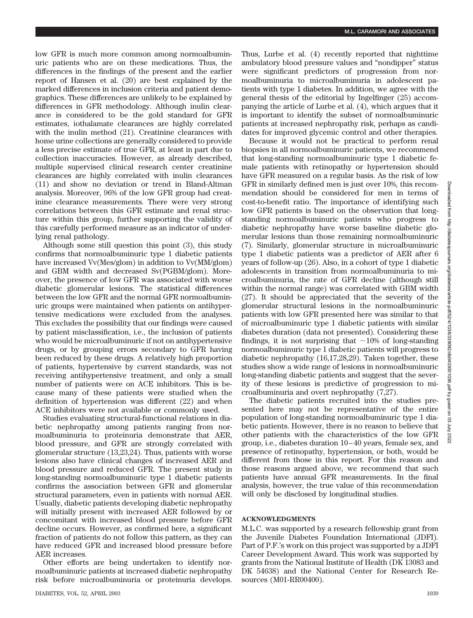low GFR is much more common among normoalbuminuric patients who are on these medications. Thus, the differences in the findings of the present and the earlier report of Hansen et al. (20) are best explained by the marked differences in inclusion criteria and patient demographics. These differences are unlikely to be explained by differences in GFR methodology. Although inulin clearance is considered to be the gold standard for GFR estimates, iothalamate clearances are highly correlated with the inulin method (21). Creatinine clearances with home urine collections are generally considered to provide a less precise estimate of true GFR, at least in part due to collection inaccuracies. However, as already described, multiple supervised clinical research center creatinine clearances are highly correlated with inulin clearances (11) and show no deviation or trend in Bland-Altman analysis. Moreover, 96% of the low GFR group had creatinine clearance measurements. There were very strong correlations between this GFR estimate and renal structure within this group, further supporting the validity of this carefully performed measure as an indicator of underlying renal pathology.

Although some still question this point (3), this study confirms that normoalbuminuric type 1 diabetic patients have increased Vv(Mes/glom) in addition to Vv(MM/glom) and GBM width and decreased Sv(PGBM/glom). Moreover, the presence of low GFR was associated with worse diabetic glomerular lesions. The statistical differences between the low GFR and the normal GFR normoalbuminuric groups were maintained when patients on antihypertensive medications were excluded from the analyses. This excludes the possibility that our findings were caused by patient misclassification, i.e., the inclusion of patients who would be microalbuminuric if not on antihypertensive drugs, or by grouping errors secondary to GFR having been reduced by these drugs. A relatively high proportion of patients, hypertensive by current standards, was not receiving antihypertensive treatment, and only a small number of patients were on ACE inhibitors. This is because many of these patients were studied when the definition of hypertension was different (22) and when ACE inhibitors were not available or commonly used.

Studies evaluating structural-functional relations in diabetic nephropathy among patients ranging from normoalbuminuria to proteinuria demonstrate that AER, blood pressure, and GFR are strongly correlated with glomerular structure (13,23,24). Thus, patients with worse lesions also have clinical changes of increased AER and blood pressure and reduced GFR. The present study in long-standing normoalbuminuric type 1 diabetic patients confirms the association between GFR and glomerular structural parameters, even in patients with normal AER. Usually, diabetic patients developing diabetic nephropathy will initially present with increased AER followed by or concomitant with increased blood pressure before GFR decline occurs. However, as confirmed here, a significant fraction of patients do not follow this pattern, as they can have reduced GFR and increased blood pressure before AER increases.

Other efforts are being undertaken to identify normoalbuminuric patients at increased diabetic nephropathy risk before microalbuminuria or proteinuria develops. Thus, Lurbe et al. (4) recently reported that nighttime ambulatory blood pressure values and "nondipper" status were significant predictors of progression from normoalbuminuria to microalbuminuria in adolescent patients with type 1 diabetes. In addition, we agree with the general thesis of the editorial by Ingelfinger (25) accompanying the article of Lurbe et al. (4), which argues that it is important to identify the subset of normoalbuminuric patients at increased nephropathy risk, perhaps as candidates for improved glycemic control and other therapies.

Because it would not be practical to perform renal biopsies in all normoalbuminuric patients, we recommend that long-standing normoalbuminuric type 1 diabetic female patients with retinopathy or hypertension should have GFR measured on a regular basis. As the risk of low GFR in similarly defined men is just over 10%, this recommendation should be considered for men in terms of cost-to-benefit ratio. The importance of identifying such low GFR patients is based on the observation that longstanding normoalbuminuric patients who progress to diabetic nephropathy have worse baseline diabetic glomerular lesions than those remaining normoalbuminuric (7). Similarly, glomerular structure in microalbuminuric type 1 diabetic patients was a predictor of AER after 6 years of follow-up (26). Also, in a cohort of type 1 diabetic adolescents in transition from normoalbuminuria to microalbuminuria, the rate of GFR decline (although still within the normal range) was correlated with GBM width (27). It should be appreciated that the severity of the glomerular structural lesions in the normoalbuminuric patients with low GFR presented here was similar to that of microalbuminuric type 1 diabetic patients with similar diabetes duration (data not presented). Considering these findings, it is not surprising that  $\sim$ 10% of long-standing normoalbuminuric type 1 diabetic patients will progress to diabetic nephropathy (16,17,28,29). Taken together, these studies show a wide range of lesions in normoalbuminuric long-standing diabetic patients and suggest that the severity of these lesions is predictive of progression to microalbuminuria and overt nephropathy (7,27).

The diabetic patients recruited into the studies presented here may not be representative of the entire population of long-standing normoalbuminuric type 1 diabetic patients. However, there is no reason to believe that other patients with the characteristics of the low GFR group, i.e., diabetes duration 10–40 years, female sex, and presence of retinopathy, hypertension, or both, would be different from those in this report. For this reason and those reasons argued above, we recommend that such patients have annual GFR measurements. In the final analysis, however, the true value of this recommendation will only be disclosed by longitudinal studies.

### **ACKNOWLEDGMENTS**

M.L.C. was supported by a research fellowship grant from the Juvenile Diabetes Foundation International (JDFI). Part of P.F.'s work on this project was supported by a JDFI Career Development Award. This work was supported by grants from the National Institute of Health (DK 13083 and DK 54638) and the National Center for Research Resources (M01-RR00400).